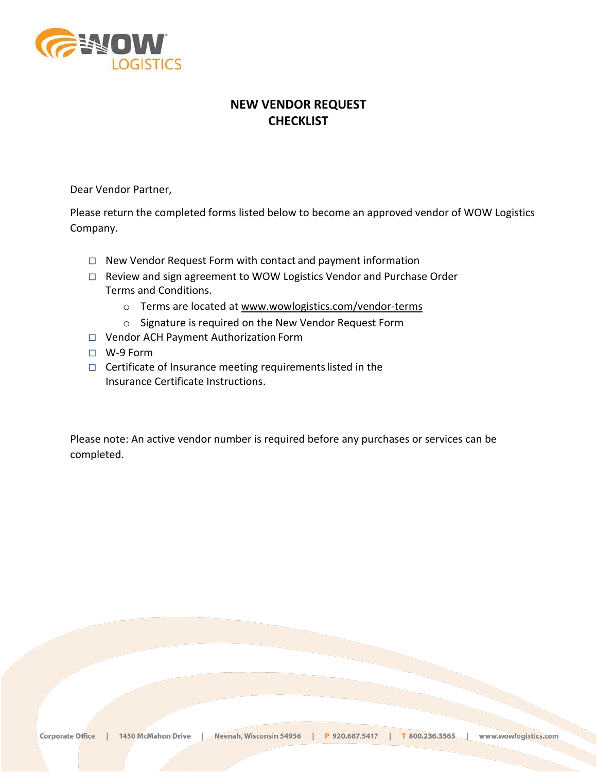

# **NEW VENDOR REQUEST CHECKLIST**

Dear Vendor Partner,

Please return the completed forms listed below to become an approved vendor of WOW Logistics Company.

- □ New Vendor Request Form with contact and payment information
- □ Review and sign agreement to WOW Logistics Vendor and Purchase Order Terms and Conditions.
	- o Terms are located at [www.wowlogistics.com/vendor-terms](http://www.wowlogistics.com/vendor-terms)
	- o Signature is required on the New Vendor Request Form
- □ Vendor ACH Payment Authorization Form
- □ W-9 Form
- □ Certificate of Insurance meeting requirementslisted in the Insurance Certificate Instructions.

Please note: An active vendor number is required before any purchases or services can be completed.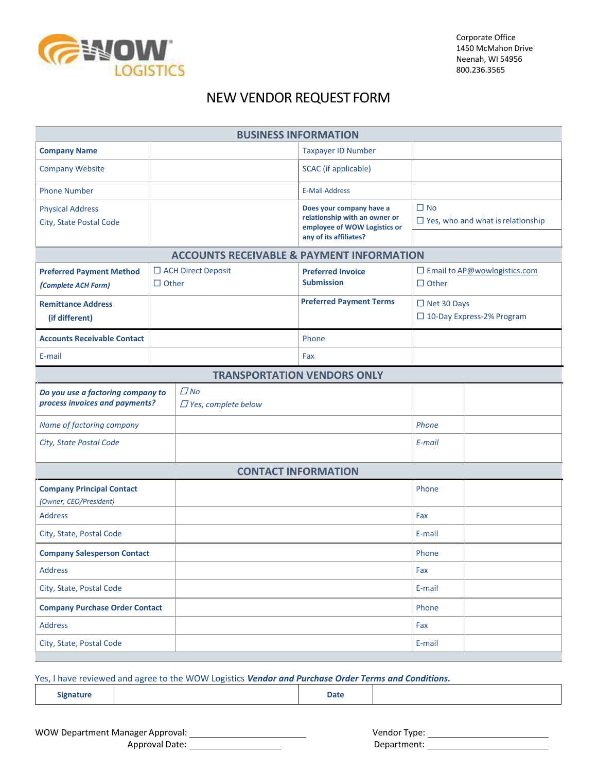

Corporate Office 1450 McMahon Drive Neenah, WI 54956 800.236.3565

# NEW VENDOR REQUEST FORM

| <b>BUSINESS INFORMATION</b>                                         |              |                                         |                                                           |                    |                                          |  |  |  |  |  |
|---------------------------------------------------------------------|--------------|-----------------------------------------|-----------------------------------------------------------|--------------------|------------------------------------------|--|--|--|--|--|
| <b>Company Name</b>                                                 |              |                                         | <b>Taxpayer ID Number</b>                                 |                    |                                          |  |  |  |  |  |
| <b>Company Website</b>                                              |              |                                         | <b>SCAC</b> (if applicable)                               |                    |                                          |  |  |  |  |  |
| <b>Phone Number</b>                                                 |              |                                         | <b>E-Mail Address</b>                                     |                    |                                          |  |  |  |  |  |
| <b>Physical Address</b>                                             |              |                                         | Does your company have a<br>relationship with an owner or | $\Box$ No          |                                          |  |  |  |  |  |
| City, State Postal Code                                             |              | employee of WOW Logistics or            |                                                           |                    | $\Box$ Yes, who and what is relationship |  |  |  |  |  |
|                                                                     |              |                                         | any of its affiliates?                                    |                    |                                          |  |  |  |  |  |
| <b>ACCOUNTS RECEIVABLE &amp; PAYMENT INFORMATION</b>                |              |                                         |                                                           |                    |                                          |  |  |  |  |  |
| <b>Preferred Payment Method</b>                                     | $\Box$ Other | $\Box$ ACH Direct Deposit               | <b>Preferred Invoice</b><br><b>Submission</b>             | $\Box$ Other       | □ Email to AP@wowlogistics.com           |  |  |  |  |  |
| (Complete ACH Form)                                                 |              |                                         |                                                           |                    |                                          |  |  |  |  |  |
| <b>Remittance Address</b>                                           |              |                                         | <b>Preferred Payment Terms</b>                            | $\Box$ Net 30 Days | □ 10-Day Express-2% Program              |  |  |  |  |  |
| (if different)                                                      |              |                                         |                                                           |                    |                                          |  |  |  |  |  |
| <b>Accounts Receivable Contact</b>                                  |              |                                         | Phone                                                     |                    |                                          |  |  |  |  |  |
| E-mail                                                              |              |                                         | Fax                                                       |                    |                                          |  |  |  |  |  |
| <b>TRANSPORTATION VENDORS ONLY</b>                                  |              |                                         |                                                           |                    |                                          |  |  |  |  |  |
| Do you use a factoring company to<br>process invoices and payments? |              | $\Box$ No<br>$\Box$ Yes, complete below |                                                           |                    |                                          |  |  |  |  |  |
| Name of factoring company                                           |              |                                         |                                                           | Phone              |                                          |  |  |  |  |  |
| City, State Postal Code                                             |              |                                         |                                                           | E-mail             |                                          |  |  |  |  |  |
|                                                                     |              |                                         | <b>CONTACT INFORMATION</b>                                |                    |                                          |  |  |  |  |  |
| <b>Company Principal Contact</b><br>(Owner, CEO/President)          |              |                                         |                                                           | Phone              |                                          |  |  |  |  |  |
| <b>Address</b>                                                      |              |                                         |                                                           | Fax                |                                          |  |  |  |  |  |
| City, State, Postal Code                                            |              |                                         |                                                           | E-mail             |                                          |  |  |  |  |  |
| <b>Company Salesperson Contact</b>                                  |              |                                         |                                                           | Phone              |                                          |  |  |  |  |  |
| <b>Address</b>                                                      |              |                                         |                                                           | Fax                |                                          |  |  |  |  |  |
| City, State, Postal Code                                            |              |                                         |                                                           | E-mail             |                                          |  |  |  |  |  |
| <b>Company Purchase Order Contact</b>                               |              |                                         |                                                           | Phone              |                                          |  |  |  |  |  |
| <b>Address</b>                                                      |              |                                         |                                                           | Fax                |                                          |  |  |  |  |  |
| City, State, Postal Code                                            |              |                                         |                                                           | E-mail             |                                          |  |  |  |  |  |

Yes, I have reviewed and agree to the WOW Logistics *Vendor and Purchase Order Terms and Conditions.*

**Signature Date** 

WOW Department Manager Approval:

Approval Date:

| Vendor Type: |  |
|--------------|--|
| Department:  |  |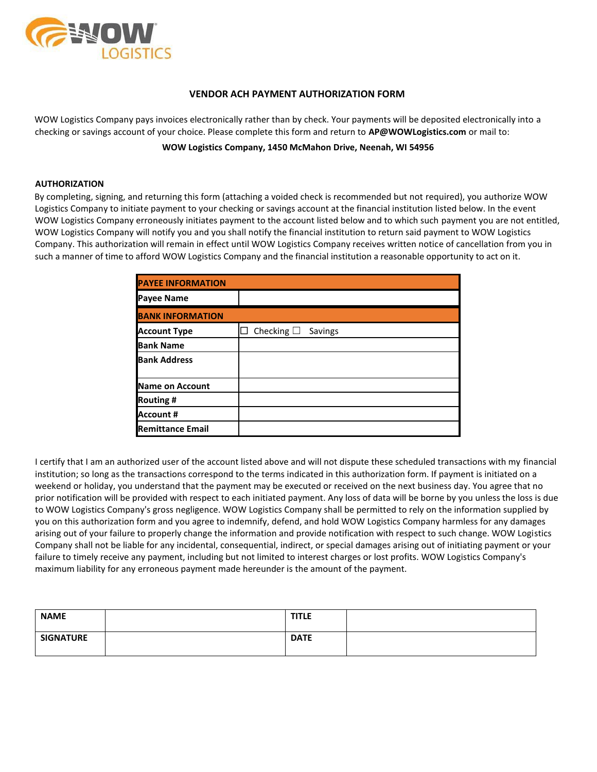

#### **VENDOR ACH PAYMENT AUTHORIZATION FORM**

WOW Logistics Company pays invoices electronically rather than by check. Your payments will be deposited electronically into a checking or savings account of your choice. Please complete this form and return to **[AP@WOWLogistics.com](mailto:AP@WOWLogistics.com)** or mail to:

**WOW Logistics Company, 1450 McMahon Drive, Neenah, WI 54956**

#### **AUTHORIZATION**

By completing, signing, and returning this form (attaching a voided check is recommended but not required), you authorize WOW Logistics Company to initiate payment to your checking or savings account at the financial institution listed below. In the event WOW Logistics Company erroneously initiates payment to the account listed below and to which such payment you are not entitled, WOW Logistics Company will notify you and you shall notify the financial institution to return said payment to WOW Logistics Company. This authorization will remain in effect until WOW Logistics Company receives written notice of cancellation from you in such a manner of time to afford WOW Logistics Company and the financial institution a reasonable opportunity to act on it.

| <b>PAYEE INFORMATION</b> |                               |
|--------------------------|-------------------------------|
| <b>Payee Name</b>        |                               |
| <b>BANK INFORMATION</b>  |                               |
| <b>Account Type</b>      | Checking $\square$<br>Savings |
| <b>Bank Name</b>         |                               |
| <b>Bank Address</b>      |                               |
| Name on Account          |                               |
| <b>Routing #</b>         |                               |
| Account #                |                               |
| <b>Remittance Email</b>  |                               |

I certify that I am an authorized user of the account listed above and will not dispute these scheduled transactions with my financial institution; so long as the transactions correspond to the terms indicated in this authorization form. If payment is initiated on a weekend or holiday, you understand that the payment may be executed or received on the next business day. You agree that no prior notification will be provided with respect to each initiated payment. Any loss of data will be borne by you unless the loss is due to WOW Logistics Company's gross negligence. WOW Logistics Company shall be permitted to rely on the information supplied by you on this authorization form and you agree to indemnify, defend, and hold WOW Logistics Company harmless for any damages arising out of your failure to properly change the information and provide notification with respect to such change. WOW Logistics Company shall not be liable for any incidental, consequential, indirect, or special damages arising out of initiating payment or your failure to timely receive any payment, including but not limited to interest charges or lost profits. WOW Logistics Company's maximum liability for any erroneous payment made hereunder is the amount of the payment.

| <b>NAME</b>      | <b>TITLE</b> |  |
|------------------|--------------|--|
| <b>SIGNATURE</b> | <b>DATE</b>  |  |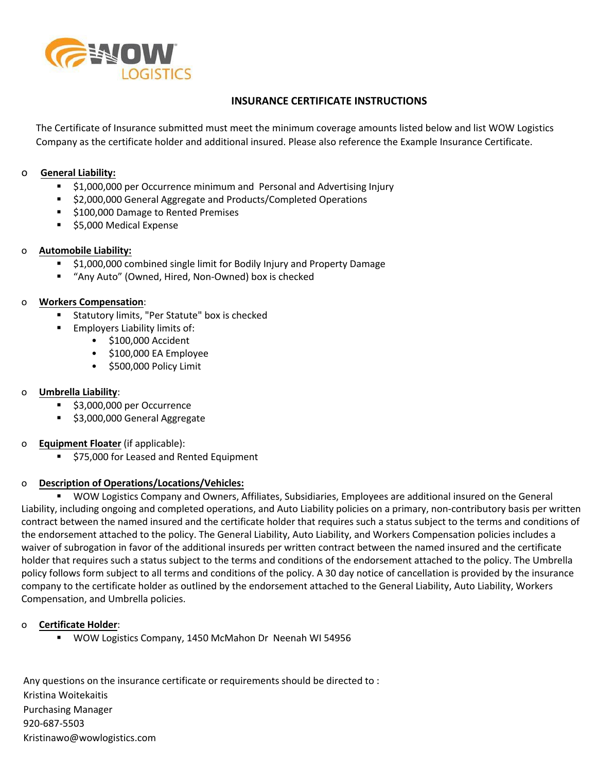

# **INSURANCE CERTIFICATE INSTRUCTIONS**

The Certificate of Insurance submitted must meet the minimum coverage amounts listed below and list WOW Logistics Company as the certificate holder and additional insured. Please also reference the Example Insurance Certificate.

### o **General Liability:**

- **51,000,000 per Occurrence minimum and Personal and Advertising Injury**
- \$2,000,000 General Aggregate and Products/Completed Operations
- **5100,000 Damage to Rented Premises**
- **55,000 Medical Expense**

#### o **Automobile Liability:**

- **51,000,000 combined single limit for Bodily Injury and Property Damage**
- "Any Auto" (Owned, Hired, Non-Owned) box is checked

#### o **Workers Compensation**:

- Statutory limits, "Per Statute" box is checked
- **Employers Liability limits of:** 
	- \$100,000 Accident
	- \$100,000 EA Employee
	- \$500,000 Policy Limit

## o **Umbrella Liability**:

- **53,000,000 per Occurrence**
- **53,000,000 General Aggregate**

## o **Equipment Floater** (if applicable):

**575,000 for Leased and Rented Equipment** 

#### o **Description of Operations/Locations/Vehicles:**

 WOW Logistics Company and Owners, Affiliates, Subsidiaries, Employees are additional insured on the General Liability, including ongoing and completed operations, and Auto Liability policies on a primary, non-contributory basis per written contract between the named insured and the certificate holder that requires such a status subject to the terms and conditions of the endorsement attached to the policy. The General Liability, Auto Liability, and Workers Compensation policies includes a waiver of subrogation in favor of the additional insureds per written contract between the named insured and the certificate holder that requires such a status subject to the terms and conditions of the endorsement attached to the policy. The Umbrella policy follows form subject to all terms and conditions of the policy. A 30 day notice of cancellation is provided by the insurance company to the certificate holder as outlined by the endorsement attached to the General Liability, Auto Liability, Workers Compensation, and Umbrella policies.

#### o **Certificate Holder**:

WOW Logistics Company, 1450 McMahon Dr Neenah WI 54956

Any questions on the insurance certificate or requirements should be directed to : Kristina Woitekaitis Purchasing Manager 920-687-5503 Kristinawo@wowlogistics.com